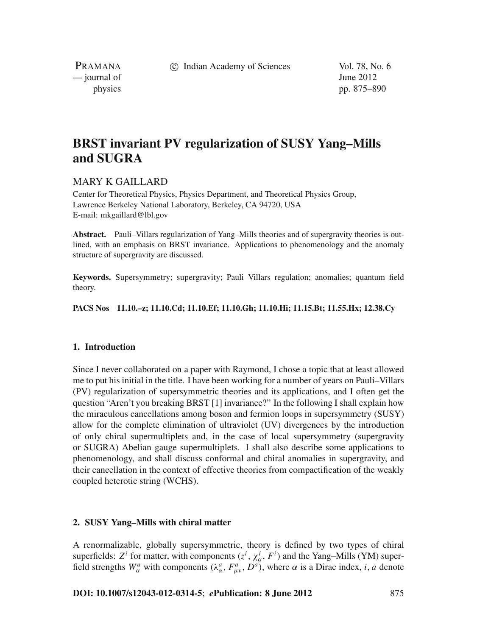c Indian Academy of Sciences Vol. 78, No. 6

PRAMANA  $\frac{1}{2}$  journal of June 2012

physics pp. 875–890

# **BRST invariant PV regularization of SUSY Yang–Mills and SUGRA**

# MARY K GAILLARD

Center for Theoretical Physics, Physics Department, and Theoretical Physics Group, Lawrence Berkeley National Laboratory, Berkeley, CA 94720, USA E-mail: mkgaillard@lbl.gov

**Abstract.** Pauli–Villars regularization of Yang–Mills theories and of supergravity theories is outlined, with an emphasis on BRST invariance. Applications to phenomenology and the anomaly structure of supergravity are discussed.

**Keywords.** Supersymmetry; supergravity; Pauli–Villars regulation; anomalies; quantum field theory.

**PACS Nos 11.10.–z; 11.10.Cd; 11.10.Ef; 11.10.Gh; 11.10.Hi; 11.15.Bt; 11.55.Hx; 12.38.Cy**

## **1. Introduction**

Since I never collaborated on a paper with Raymond, I chose a topic that at least allowed me to put his initial in the title. I have been working for a number of years on Pauli–Villars (PV) regularization of supersymmetric theories and its applications, and I often get the question "Aren't you breaking BRST [1] invariance?" In the following I shall explain how the miraculous cancellations among boson and fermion loops in supersymmetry (SUSY) allow for the complete elimination of ultraviolet (UV) divergences by the introduction of only chiral supermultiplets and, in the case of local supersymmetry (supergravity or SUGRA) Abelian gauge supermultiplets. I shall also describe some applications to phenomenology, and shall discuss conformal and chiral anomalies in supergravity, and their cancellation in the context of effective theories from compactification of the weakly coupled heterotic string (WCHS).

## **2. SUSY Yang–Mills with chiral matter**

A renormalizable, globally supersymmetric, theory is defined by two types of chiral superfields:  $Z^i$  for matter, with components  $(z^i, \chi^i_\alpha, F^i)$  and the Yang–Mills (YM) superfield strengths  $W^a_\alpha$  with components  $(\lambda^a_\alpha, F^a_{\mu\nu}, D^a)$ , where  $\alpha$  is a Dirac index, *i*, *a* denote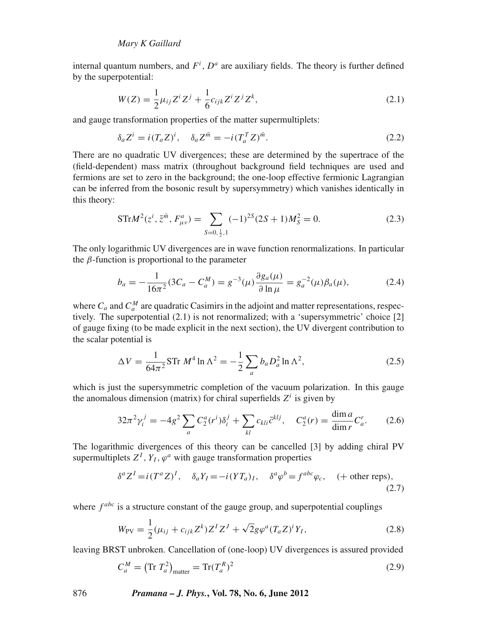internal quantum numbers, and  $F^i$ ,  $D^a$  are auxiliary fields. The theory is further defined by the superpotential:

$$
W(Z) = \frac{1}{2}\mu_{ij}Z^{i}Z^{j} + \frac{1}{6}c_{ijk}Z^{i}Z^{j}Z^{k},
$$
\n(2.1)

and gauge transformation properties of the matter supermultiplets:

$$
\delta_a Z^i = i(T_a Z)^i, \quad \delta_a Z^{\bar{m}} = -i(T_a^T Z)^{\bar{m}}.
$$
\n(2.2)

There are no quadratic UV divergences; these are determined by the supertrace of the (field-dependent) mass matrix (throughout background field techniques are used and fermions are set to zero in the background; the one-loop effective fermionic Lagrangian can be inferred from the bosonic result by supersymmetry) which vanishes identically in this theory:

$$
\text{STr}M^{2}(z^{i}, \bar{z}^{\bar{m}}, F^{a}_{\mu\nu}) = \sum_{S=0, \frac{1}{2}, 1} (-1)^{2S} (2S+1) M_{S}^{2} = 0. \tag{2.3}
$$

The only logarithmic UV divergences are in wave function renormalizations. In particular the  $\beta$ -function is proportional to the parameter

$$
b_a = -\frac{1}{16\pi^2} (3C_a - C_a^M) = g^{-3}(\mu) \frac{\partial g_a(\mu)}{\partial \ln \mu} = g_a^{-2}(\mu) \beta_a(\mu), \tag{2.4}
$$

where  $C_a$  and  $C_a^M$  are quadratic Casimirs in the adjoint and matter representations, respectively. The superpotential (2.1) is not renormalized; with a 'supersymmetric' choice [2] of gauge fixing (to be made explicit in the next section), the UV divergent contribution to the scalar potential is

$$
\Delta V = \frac{1}{64\pi^2} \text{STr } M^4 \ln \Lambda^2 = -\frac{1}{2} \sum_a b_a D_a^2 \ln \Lambda^2,\tag{2.5}
$$

which is just the supersymmetric completion of the vacuum polarization. In this gauge the anomalous dimension (matrix) for chiral superfields  $Z^i$  is given by

$$
32\pi^2 \gamma_i^j = -4g^2 \sum_a C_2^a(r^i) \delta_i^j + \sum_{kl} c_{kli} \bar{c}^{klj}, \quad C_2^a(r) = \frac{\dim a}{\dim r} C_a^r. \tag{2.6}
$$

The logarithmic divergences of this theory can be cancelled [3] by adding chiral PV supermultiplets  $Z^I$ ,  $Y_I$ ,  $\varphi^a$  with gauge transformation properties

$$
\delta^a Z^I = i(T^a Z)^I, \quad \delta_a Y_I = -i( Y T_a)_I, \quad \delta^a \varphi^b = f^{abc} \varphi_c, \quad (+ \text{ other reps}), \tag{2.7}
$$

where  $f^{abc}$  is a structure constant of the gauge group, and superpotential couplings

$$
W_{\rm PV} = \frac{1}{2} (\mu_{ij} + c_{ijk} Z^k) Z^I Z^J + \sqrt{2} g \varphi^a (T_a Z)^i Y_I,
$$
\n(2.8)

leaving BRST unbroken. Cancellation of (one-loop) UV divergences is assured provided

$$
C_a^M = \left(\text{Tr } T_a^2\right)_{\text{matter}} = \text{Tr}(T_a^R)^2 \tag{2.9}
$$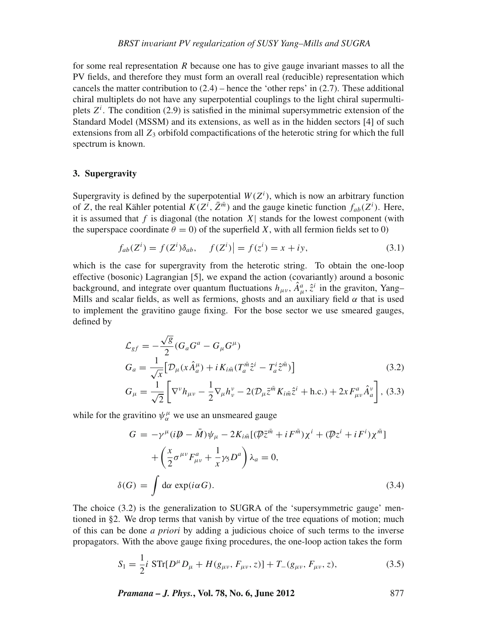for some real representation *R* because one has to give gauge invariant masses to all the PV fields, and therefore they must form an overall real (reducible) representation which cancels the matter contribution to  $(2.4)$  – hence the 'other reps' in  $(2.7)$ . These additional chiral multiplets do not have any superpotential couplings to the light chiral supermultiplets  $Z^i$ . The condition (2.9) is satisfied in the minimal supersymmetric extension of the Standard Model (MSSM) and its extensions, as well as in the hidden sectors [4] of such extensions from all  $Z_3$  orbifold compactifications of the heterotic string for which the full spectrum is known.

## **3. Supergravity**

Supergravity is defined by the superpotential  $W(Z<sup>i</sup>)$ , which is now an arbitrary function of *Z*, the real Kähler potential  $K(Z^i, \bar{Z}^{\bar{m}})$  and the gauge kinetic function  $f_{ab}(Z^i)$ . Here, it is assumed that  $f$  is diagonal (the notation  $X$ ) stands for the lowest component (with the superspace coordinate  $\theta = 0$ ) of the superfield *X*, with all fermion fields set to 0)

$$
f_{ab}(Z^i) = f(Z^i)\delta_{ab}, \quad f(Z^i) = f(z^i) = x + iy,\tag{3.1}
$$

which is the case for supergravity from the heterotic string. To obtain the one-loop effective (bosonic) Lagrangian [5], we expand the action (covariantly) around a bosonic background, and integrate over quantum fluctuations  $h_{\mu\nu}$ ,  $\hat{A}^a_{\mu}$ ,  $\hat{z}^i$  in the graviton, Yang– Mills and scalar fields, as well as fermions, ghosts and an auxiliary field  $\alpha$  that is used to implement the gravitino gauge fixing. For the bose sector we use smeared gauges, defined by

$$
\mathcal{L}_{gf} = -\frac{\sqrt{g}}{2} (G_a G^a - G_\mu G^\mu) \nG_a = \frac{1}{\sqrt{x}} \Big[ \mathcal{D}_\mu (x \hat{A}^\mu_a) + i K_{i\bar{m}} (T_a^{\bar{m}} \hat{z}^i - T_a^i \hat{z}^{\bar{m}}) \Big] \nG_\mu = \frac{1}{\sqrt{2}} \Big[ \nabla^\nu h_{\mu\nu} - \frac{1}{2} \nabla_\mu h^\nu_\nu - 2 (\mathcal{D}_\mu \bar{z}^{\bar{m}} K_{i\bar{m}} \hat{z}^i + \text{h.c.}) + 2x F^a_{\mu\nu} \hat{A}^\nu_a \Big],
$$
\n(3.3)

while for the gravitino  $\psi_\alpha^\mu$  we use an unsmeared gauge

$$
G = -\gamma^{\mu}(i\mathbf{D} - \bar{M})\psi_{\mu} - 2K_{i\bar{m}}[(\mathbf{D}\bar{z}^{\bar{m}} + iF^{\bar{m}})\chi^{i} + (\mathbf{D}z^{i} + iF^{i})\chi^{\bar{m}}] + \left(\frac{x}{2}\sigma^{\mu\nu}F_{\mu\nu}^{a} + \frac{1}{x}\gamma_{5}D^{a}\right)\lambda_{a} = 0,
$$
  

$$
\delta(G) = \int d\alpha \exp(i\alpha G).
$$
 (3.4)

The choice (3.2) is the generalization to SUGRA of the 'supersymmetric gauge' mentioned in §2. We drop terms that vanish by virtue of the tree equations of motion; much of this can be done *a priori* by adding a judicious choice of such terms to the inverse propagators. With the above gauge fixing procedures, the one-loop action takes the form

$$
S_1 = \frac{1}{2}i \, \text{STr}[D^\mu D_\mu + H(g_{\mu\nu}, F_{\mu\nu}, z)] + T_{-}(g_{\mu\nu}, F_{\mu\nu}, z), \tag{3.5}
$$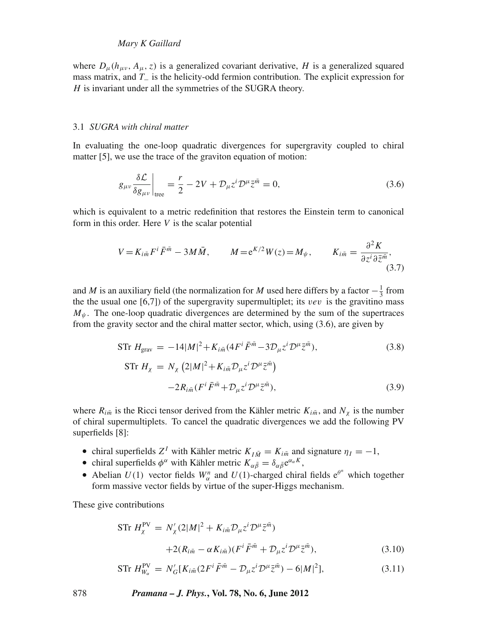## *Mary K Gaillard*

where  $D_{\mu}(h_{\mu\nu}, A_{\mu}, z)$  is a generalized covariant derivative, *H* is a generalized squared mass matrix, and *T*<sup>−</sup> is the helicity-odd fermion contribution. The explicit expression for *H* is invariant under all the symmetries of the SUGRA theory.

#### 3.1 *SUGRA with chiral matter*

In evaluating the one-loop quadratic divergences for supergravity coupled to chiral matter [5], we use the trace of the graviton equation of motion:

$$
g_{\mu\nu}\frac{\delta\mathcal{L}}{\delta g_{\mu\nu}}\bigg|_{\text{tree}} = \frac{r}{2} - 2V + \mathcal{D}_{\mu}z^{i}\mathcal{D}^{\mu}\bar{z}^{\bar{m}} = 0,\tag{3.6}
$$

which is equivalent to a metric redefinition that restores the Einstein term to canonical form in this order. Here *V* is the scalar potential

$$
V = K_{i\bar{m}} F^i \bar{F}^{\bar{m}} - 3M\bar{M}, \qquad M = e^{K/2} W(z) = M_{\psi}, \qquad K_{i\bar{m}} = \frac{\partial^2 K}{\partial z^i \partial \bar{z}^{\bar{m}}},
$$
\n(3.7)

and *M* is an auxiliary field (the normalization for *M* used here differs by a factor  $-\frac{1}{3}$  from the the usual one  $[6,7]$ ) of the supergravity supermultiplet; its *vev* is the gravitino mass  $M_{\psi}$ . The one-loop quadratic divergences are determined by the sum of the supertraces from the gravity sector and the chiral matter sector, which, using (3.6), are given by

$$
\text{STr } H_{\text{grav}} = -14|M|^2 + K_{i\bar{m}}(4F^i \bar{F}^{\bar{m}} - 3D_{\mu}z^i D^{\mu} \bar{z}^{\bar{m}}), \tag{3.8}
$$
\n
$$
\text{STr } H_{\chi} = N_{\chi} (2|M|^2 + K_{i\bar{m}} D_{\mu}z^i D^{\mu} \bar{z}^{\bar{m}}) - 2R_{i\bar{m}}(F^i \bar{F}^{\bar{m}} + D_{\mu}z^i D^{\mu} \bar{z}^{\bar{m}}), \tag{3.9}
$$

where  $R_{i\bar{m}}$  is the Ricci tensor derived from the Kähler metric  $K_{i\bar{m}}$ , and  $N_{\chi}$  is the number of chiral supermultiplets. To cancel the quadratic divergences we add the following PV superfields [8]:

- chiral superfields  $Z^I$  with Kähler metric  $K_{I\bar{M}} = K_{i\bar{m}}$  and signature  $\eta_I = -1$ ,
- chiral superfields  $\phi^{\alpha}$  with Kähler metric  $K_{\alpha\bar{\beta}} = \delta_{\alpha\bar{\beta}}e^{\alpha_{\alpha}K}$ ,
- Abelian  $U(1)$  vector fields  $W_{\alpha}^{n}$  and  $U(1)$ -charged chiral fields  $e^{\theta^{n}}$  which together form massive vector fields by virtue of the super-Higgs mechanism.

These give contributions

$$
\text{STr } H_{\chi}^{\text{PV}} = N_{\chi}' (2|M|^2 + K_{i\bar{m}} \mathcal{D}_{\mu} z^i \mathcal{D}^{\mu} \bar{z}^{\bar{m}})
$$

$$
+ 2(R_{i\bar{m}} - \alpha K_{i\bar{m}}) (F^i \bar{F}^{\bar{m}} + \mathcal{D}_{\mu} z^i \mathcal{D}^{\mu} \bar{z}^{\bar{m}}), \tag{3.10}
$$

$$
\text{STr } H_{W_{\alpha}}^{\text{PV}} = N'_{G} [K_{i\bar{m}} (2F^{i} \bar{F}^{\bar{m}} - \mathcal{D}_{\mu} z^{i} \mathcal{D}^{\mu} \bar{z}^{\bar{m}}) - 6|M|^{2}], \tag{3.11}
$$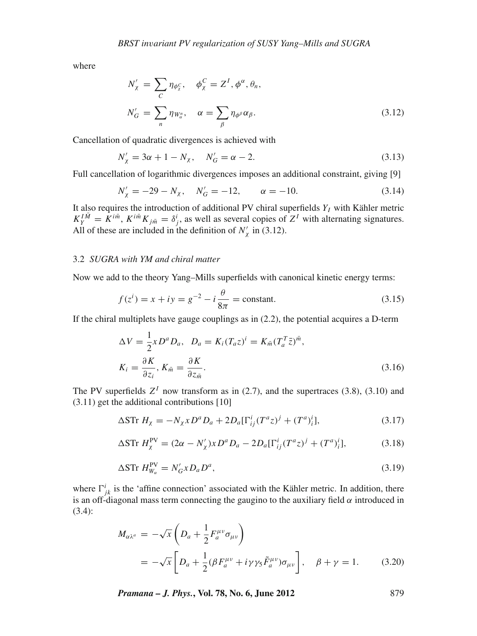where

$$
N'_{\chi} = \sum_{C} \eta_{\phi_{\chi}^{C}}, \quad \phi_{\chi}^{C} = Z^{I}, \phi^{\alpha}, \theta_{n},
$$
  

$$
N'_{G} = \sum_{n} \eta_{W_{\alpha}^{n}}, \quad \alpha = \sum_{\beta} \eta_{\phi^{\beta}} \alpha_{\beta}.
$$
 (3.12)

Cancellation of quadratic divergences is achieved with

$$
N'_{\chi} = 3\alpha + 1 - N_{\chi}, \quad N'_{G} = \alpha - 2. \tag{3.13}
$$

Full cancellation of logarithmic divergences imposes an additional constraint, giving [9]

$$
N'_{\chi} = -29 - N_{\chi}, \quad N'_{G} = -12, \qquad \alpha = -10.
$$
 (3.14)

It also requires the introduction of additional PV chiral superfields  $Y_I$  with Kähler metric  $K_Y^{I\bar{M}} = \hat{K}^{i\bar{m}}$ ,  $K^{i\bar{m}}K_{j\bar{m}} = \delta_j^i$ , as well as several copies of  $Z^I$  with alternating signatures. All of these are included in the definition of  $N'_\chi$  in (3.12).

#### 3.2 *SUGRA with YM and chiral matter*

Now we add to the theory Yang–Mills superfields with canonical kinetic energy terms:

$$
f(z^i) = x + iy = g^{-2} - i\frac{\theta}{8\pi} = \text{constant.}
$$
 (3.15)

If the chiral multiplets have gauge couplings as in (2.2), the potential acquires a D-term

$$
\Delta V = \frac{1}{2} x D^a D_a, \quad D_a = K_i (T_a z)^i = K_{\tilde{m}} (T_a^T \bar{z})^{\tilde{m}},
$$

$$
K_i = \frac{\partial K}{\partial z_i}, \quad K_{\tilde{m}} = \frac{\partial K}{\partial z_{\tilde{m}}}.
$$
(3.16)

The PV superfields  $Z<sup>I</sup>$  now transform as in (2.7), and the supertraces (3.8), (3.10) and (3.11) get the additional contributions [10]

$$
\Delta S \text{Tr} \ H_{\chi} = -N_{\chi} x D^a D_a + 2D_a [\Gamma^i_{ij} (T^a z)^j + (T^a)^i_i], \tag{3.17}
$$

$$
\Delta S \text{Tr } H_{\chi}^{\text{PV}} = (2\alpha - N_{\chi}') x D^a D_a - 2D_a [\Gamma_{ij}^i (T^a z)^j + (T^a)_i^i],\tag{3.18}
$$

$$
\Delta S \text{Tr } H_{W_{\alpha}}^{\text{PV}} = N_G' x D_a D^a,\tag{3.19}
$$

where  $\Gamma^i_{jk}$  is the 'affine connection' associated with the Kähler metric. In addition, there is an off-diagonal mass term connecting the gaugino to the auxiliary field  $\alpha$  introduced in (3.4):

$$
M_{\alpha\lambda^{a}} = -\sqrt{x} \left( D_{a} + \frac{1}{2} F_{a}^{\mu\nu} \sigma_{\mu\nu} \right)
$$
  
=  $-\sqrt{x} \left[ D_{a} + \frac{1}{2} (\beta F_{a}^{\mu\nu} + i \gamma \gamma_{5} \tilde{F}_{a}^{\mu\nu}) \sigma_{\mu\nu} \right], \quad \beta + \gamma = 1.$  (3.20)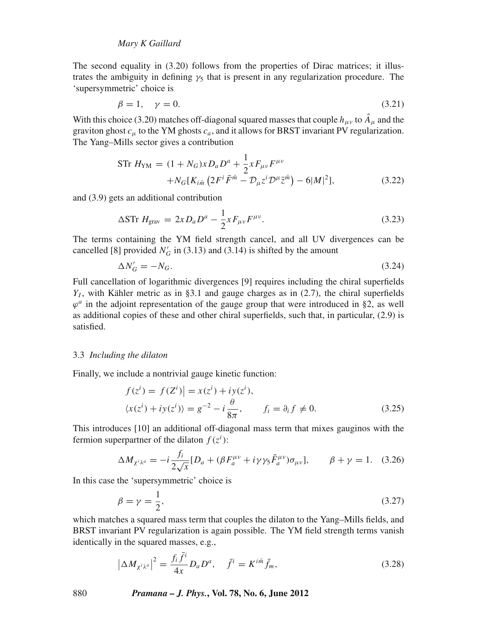The second equality in (3.20) follows from the properties of Dirac matrices; it illustrates the ambiguity in defining  $\gamma_5$  that is present in any regularization procedure. The 'supersymmetric' choice is

$$
\beta = 1, \quad \gamma = 0. \tag{3.21}
$$

With this choice (3.20) matches of f-diagonal squared masses that couple  $h_{\mu\nu}$  to  $\hat{A}_{\mu}$  and the graviton ghost *c*<sup>μ</sup> to the YM ghosts *ca*, and it allows for BRST invariant PV regularization. The Yang–Mills sector gives a contribution

$$
\begin{split} \text{STr } H_{\text{YM}} &= (1 + N_G)x D_a D^a + \frac{1}{2} x F_{\mu\nu} F^{\mu\nu} \\ &+ N_G [K_{i\bar{m}} \left( 2F^i \bar{F}^{\bar{m}} - \mathcal{D}_{\mu} z^i \mathcal{D}^{\mu} \bar{z}^{\bar{m}} \right) - 6|M|^2], \end{split} \tag{3.22}
$$

and (3.9) gets an additional contribution

$$
\Delta \text{STr } H_{\text{grav}} = 2x D_a D^a - \frac{1}{2} x F_{\mu\nu} F^{\mu\nu}.
$$
\n(3.23)

The terms containing the YM field strength cancel, and all UV divergences can be cancelled [8] provided  $N'_G$  in (3.13) and (3.14) is shifted by the amount

$$
\Delta N_G' = -N_G. \tag{3.24}
$$

Full cancellation of logarithmic divergences [9] requires including the chiral superfields  $Y_I$ , with Kähler metric as in §3.1 and gauge charges as in (2.7), the chiral superfields  $\varphi^a$  in the adjoint representation of the gauge group that were introduced in §2, as well as additional copies of these and other chiral superfields, such that, in particular, (2.9) is satisfied.

#### 3.3 *Including the dilaton*

Finally, we include a nontrivial gauge kinetic function:

$$
f(zi) = f(Zi)| = x(zi) + iy(zi),
$$
  

$$
\langle x(zi) + iy(zi) \rangle = g^{-2} - i\frac{\theta}{8\pi}, \qquad f_i = \partial_i f \neq 0.
$$
 (3.25)

This introduces [10] an additional off-diagonal mass term that mixes gauginos with the fermion superpartner of the dilaton  $f(z^i)$ :

$$
\Delta M_{\chi^i \lambda^a} = -i \frac{f_i}{2\sqrt{x}} [D_a + (\beta F_a^{\mu\nu} + i\gamma\gamma_5 \tilde{F}_a^{\mu\nu}) \sigma_{\mu\nu}], \qquad \beta + \gamma = 1. \quad (3.26)
$$

In this case the 'supersymmetric' choice is

$$
\beta = \gamma = \frac{1}{2},\tag{3.27}
$$

which matches a squared mass term that couples the dilaton to the Yang–Mills fields, and BRST invariant PV regularization is again possible. The YM field strength terms vanish identically in the squared masses, e.g.,

$$
\left|\Delta M_{\chi^i\lambda^a}\right|^2 = \frac{f_i\bar{f}^i}{4x}D_aD^a, \quad \bar{f}^i = K^{i\bar{m}}\bar{f}_m,\tag{3.28}
$$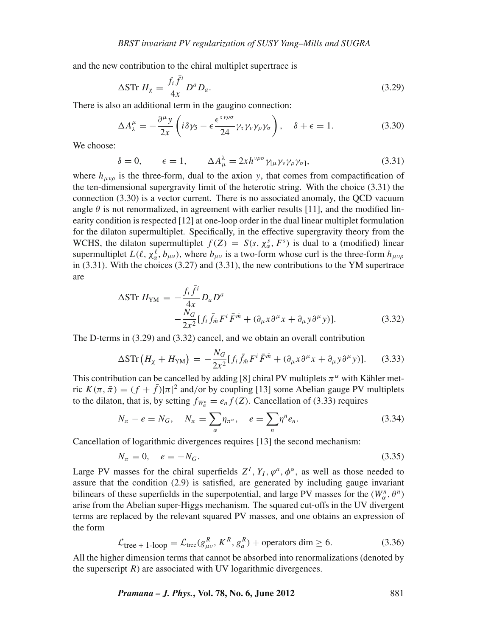and the new contribution to the chiral multiplet supertrace is

$$
\Delta S \text{Tr } H_{\chi} = \frac{f_i \bar{f}^i}{4x} D^a D_a. \tag{3.29}
$$

There is also an additional term in the gaugino connection:

$$
\Delta A_{\lambda}^{\mu} = -\frac{\partial^{\mu} y}{2x} \left( i \delta \gamma_5 - \epsilon \frac{\epsilon^{\tau \nu \rho \sigma}}{24} \gamma_{\tau} \gamma_{\nu} \gamma_{\rho} \gamma_{\sigma} \right), \quad \delta + \epsilon = 1. \tag{3.30}
$$

We choose:

$$
\delta = 0, \qquad \epsilon = 1, \qquad \Delta A^{\lambda}_{\mu} = 2x h^{\nu \rho \sigma} \gamma_{[\mu} \gamma_{\nu} \gamma_{\rho} \gamma_{\sigma]}, \qquad (3.31)
$$

where  $h_{\mu\nu\rho}$  is the three-form, dual to the axion *y*, that comes from compactification of the ten-dimensional supergravity limit of the heterotic string. With the choice (3.31) the connection (3.30) is a vector current. There is no associated anomaly, the QCD vacuum angle  $\theta$  is not renormalized, in agreement with earlier results [11], and the modified linearity condition is respected [12] at one-loop order in the dual linear multiplet formulation for the dilaton supermultiplet. Specifically, in the effective supergravity theory from the WCHS, the dilaton supermultiplet  $f(Z) = S(s, \chi^s_\alpha, F^s)$  is dual to a (modified) linear supermultiplet  $L(\ell, \chi_{\alpha}^{\ell}, b_{\mu\nu})$ , where  $b_{\mu\nu}$  is a two-form whose curl is the three-form  $h_{\mu\nu\rho}$ in (3.31). With the choices (3.27) and (3.31), the new contributions to the YM supertrace are

$$
\Delta S \text{Tr } H_{\text{YM}} = -\frac{f_i \bar{f}^i}{4x} D_a D^a
$$
  
 
$$
-\frac{N_G}{2x^2} [f_i \bar{f}_{\bar{m}} F^i \bar{F}^{\bar{m}} + (\partial_\mu x \partial^\mu x + \partial_\mu y \partial^\mu y)]. \tag{3.32}
$$

The D-terms in (3.29) and (3.32) cancel, and we obtain an overall contribution

$$
\Delta \text{STr} \left( H_{\chi} + H_{\text{YM}} \right) = -\frac{N_G}{2x^2} \left[ f_i \bar{f}_{\bar{m}} F^i \bar{F}^{\bar{m}} + (\partial_{\mu} x \partial^{\mu} x + \partial_{\mu} y \partial^{\mu} y) \right]. \tag{3.33}
$$

This contribution can be cancelled by adding [8] chiral PV multiplets  $\pi^{\alpha}$  with Kähler metric  $K(\pi, \bar{\pi}) = (f + \bar{f})|\pi|^2$  and/or by coupling [13] some Abelian gauge PV multiplets to the dilaton, that is, by setting  $f_{W_\alpha^n} = e_n f(Z)$ . Cancellation of (3.33) requires

$$
N_{\pi} - e = N_G, \quad N_{\pi} = \sum_{\alpha} \eta_{\pi^{\alpha}}, \quad e = \sum_{n} \eta^{n} e_n.
$$
 (3.34)

Cancellation of logarithmic divergences requires [13] the second mechanism:

$$
N_{\pi} = 0, \quad e = -N_G. \tag{3.35}
$$

Large PV masses for the chiral superfields  $Z^I$ ,  $Y_I$ ,  $\varphi^a$ ,  $\varphi^\alpha$ , as well as those needed to assure that the condition (2.9) is satisfied, are generated by including gauge invariant bilinears of these superfields in the superpotential, and large PV masses for the  $(W_\alpha^n, \theta^n)$ arise from the Abelian super-Higgs mechanism. The squared cut-offs in the UV divergent terms are replaced by the relevant squared PV masses, and one obtains an expression of the form

$$
\mathcal{L}_{\text{tree + 1-loop}} = \mathcal{L}_{\text{tree}}(g_{\mu\nu}^R, K^R, g_a^R) + \text{operators dim} \ge 6. \tag{3.36}
$$

All the higher dimension terms that cannot be absorbed into renormalizations (denoted by the superscript  $R$ ) are associated with UV logarithmic divergences.

*Pramana – J. Phys.***, Vol. 78, No. 6, June 2012** 881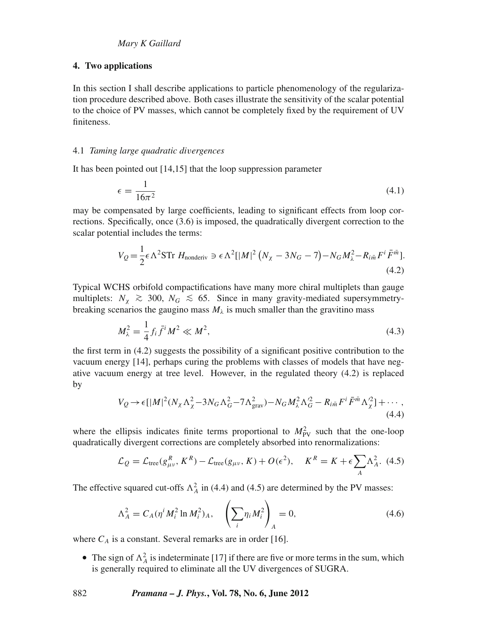### **4. Two applications**

In this section I shall describe applications to particle phenomenology of the regularization procedure described above. Both cases illustrate the sensitivity of the scalar potential to the choice of PV masses, which cannot be completely fixed by the requirement of UV finiteness.

#### 4.1 *Taming large quadratic di*v*ergences*

It has been pointed out [14,15] that the loop suppression parameter

$$
\epsilon = \frac{1}{16\pi^2} \tag{4.1}
$$

may be compensated by large coefficients, leading to significant effects from loop corrections. Specifically, once (3.6) is imposed, the quadratically divergent correction to the scalar potential includes the terms:

$$
V_Q = \frac{1}{2} \epsilon \Lambda^2 \text{STr } H_{\text{nonderiv}} \ni \epsilon \Lambda^2 [|M|^2 (N_\chi - 3N_G - 7) - N_G M_\lambda^2 - R_{i\bar{m}} F^i \bar{F}^{\bar{m}}].
$$
\n(4.2)

Typical WCHS orbifold compactifications have many more chiral multiplets than gauge multiplets:  $N_\chi$  ≥ 300,  $N_G$  ≤ 65. Since in many gravity-mediated supersymmetrybreaking scenarios the gaugino mass  $M_{\lambda}$  is much smaller than the gravitino mass

$$
M_{\lambda}^{2} = \frac{1}{4} f_{i} \bar{f}^{i} M^{2} \ll M^{2}, \tag{4.3}
$$

the first term in (4.2) suggests the possibility of a significant positive contribution to the vacuum energy [14], perhaps curing the problems with classes of models that have negative vacuum energy at tree level. However, in the regulated theory (4.2) is replaced by

$$
V_Q \rightarrow \epsilon [|M|^2 (N_\chi \Lambda_\chi^2 - 3N_G \Lambda_G^2 - 7\Lambda_{\text{grav}}^2) - N_G M_\chi^2 \Lambda_G^2 - R_{i\bar{m}} F^i \bar{F}^{\bar{m}} \Lambda_\chi^2] + \cdots,
$$
\n(4.4)

where the ellipsis indicates finite terms proportional to  $M_{\text{PV}}^2$  such that the one-loop quadratically divergent corrections are completely absorbed into renormalizations:

$$
\mathcal{L}_Q = \mathcal{L}_{\text{tree}}(g_{\mu\nu}^R, K^R) - \mathcal{L}_{\text{tree}}(g_{\mu\nu}, K) + O(\epsilon^2), \quad K^R = K + \epsilon \sum_A \Lambda_A^2. \tag{4.5}
$$

The effective squared cut-offs  $\Lambda_A^2$  in (4.4) and (4.5) are determined by the PV masses:

$$
\Lambda_A^2 = C_A (\eta^i M_i^2 \ln M_i^2)_A, \quad \left(\sum_i \eta_i M_i^2\right)_A = 0,
$$
\n(4.6)

where  $C_A$  is a constant. Several remarks are in order [16].

• The sign of  $\Lambda_A^2$  is indeterminate [17] if there are five or more terms in the sum, which is generally required to eliminate all the UV divergences of SUGRA.

882 *Pramana – J. Phys.***, Vol. 78, No. 6, June 2012**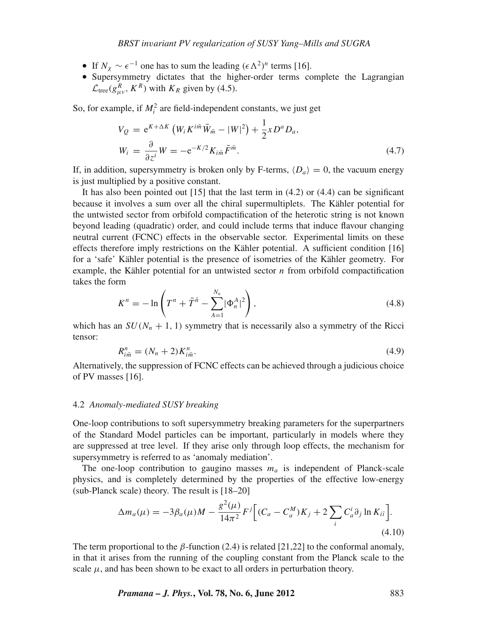- If  $N_\gamma \sim \epsilon^{-1}$  one has to sum the leading  $(\epsilon \Lambda^2)^n$  terms [16].
- Supersymmetry dictates that the higher-order terms complete the Lagrangian  $\mathcal{L}_{\text{tree}}(g_{\mu\nu}^R, K^R)$  with  $K_R$  given by (4.5).

So, for example, if  $M_i^2$  are field-independent constants, we just get

$$
V_Q = e^{K + \Delta K} \left( W_i K^{i\bar{m}} \bar{W}_{\bar{m}} - |W|^2 \right) + \frac{1}{2} x D^a D_a,
$$
  
\n
$$
W_i = \frac{\partial}{\partial z^i} W = -e^{-K/2} K_{i\bar{m}} \bar{F}^{\bar{m}}.
$$
\n(4.7)

If, in addition, supersymmetry is broken only by F-terms,  $\langle D_a \rangle = 0$ , the vacuum energy is just multiplied by a positive constant.

It has also been pointed out  $[15]$  that the last term in  $(4.2)$  or  $(4.4)$  can be significant because it involves a sum over all the chiral supermultiplets. The Kähler potential for the untwisted sector from orbifold compactification of the heterotic string is not known beyond leading (quadratic) order, and could include terms that induce flavour changing neutral current (FCNC) effects in the observable sector. Experimental limits on these effects therefore imply restrictions on the Kähler potential. A sufficient condition [16] for a 'safe' Kähler potential is the presence of isometries of the Kähler geometry. For example, the Kähler potential for an untwisted sector *n* from orbifold compactification takes the form

$$
K^{n} = -\ln\left(T^{n} + \bar{T}^{\bar{n}} - \sum_{A=1}^{N_{n}} |\Phi_{n}^{A}|^{2}\right),
$$
\n(4.8)

which has an  $SU(N_n + 1, 1)$  symmetry that is necessarily also a symmetry of the Ricci tensor:

$$
R_{i\bar{m}}^{n} = (N_n + 2)K_{i\bar{m}}^{n}.
$$
\n(4.9)

Alternatively, the suppression of FCNC effects can be achieved through a judicious choice of PV masses [16].

#### 4.2 *Anomaly-mediated SUSY breaking*

One-loop contributions to soft supersymmetry breaking parameters for the superpartners of the Standard Model particles can be important, particularly in models where they are suppressed at tree level. If they arise only through loop effects, the mechanism for supersymmetry is referred to as 'anomaly mediation'.

The one-loop contribution to gaugino masses  $m<sub>a</sub>$  is independent of Planck-scale physics, and is completely determined by the properties of the effective low-energy (sub-Planck scale) theory. The result is [18–20]

$$
\Delta m_a(\mu) = -3\beta_a(\mu)M - \frac{g^2(\mu)}{14\pi^2}F^j \Big[ (C_a - C_a^M)K_j + 2\sum_i C_a^i \partial_j \ln K_{i\bar{i}} \Big].
$$
\n(4.10)

The term proportional to the  $\beta$ -function (2.4) is related [21,22] to the conformal anomaly, in that it arises from the running of the coupling constant from the Planck scale to the scale  $\mu$ , and has been shown to be exact to all orders in perturbation theory.

*Pramana – J. Phys.***, Vol. 78, No. 6, June 2012** 883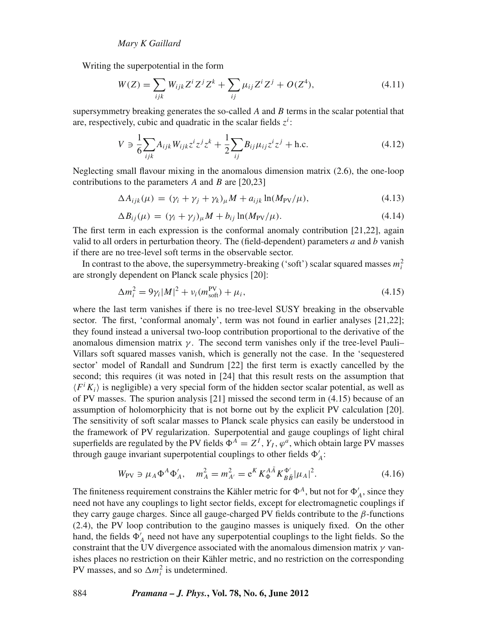Writing the superpotential in the form

$$
W(Z) = \sum_{ijk} W_{ijk} Z^i Z^j Z^k + \sum_{ij} \mu_{ij} Z^i Z^j + O(Z^4),
$$
\n(4.11)

supersymmetry breaking generates the so-called *A* and *B* terms in the scalar potential that are, respectively, cubic and quadratic in the scalar fields  $z<sup>i</sup>$ :

$$
V \ni \frac{1}{6} \sum_{ijk} A_{ijk} W_{ijk} z^i z^j z^k + \frac{1}{2} \sum_{ij} B_{ij} \mu_{ij} z^i z^j + \text{h.c.}
$$
 (4.12)

Neglecting small flavour mixing in the anomalous dimension matrix (2.6), the one-loop contributions to the parameters *A* and *B* are [20,23]

$$
\Delta A_{ijk}(\mu) = (\gamma_i + \gamma_j + \gamma_k)_{\mu} M + a_{ijk} \ln(M_{\text{PV}}/\mu), \tag{4.13}
$$

$$
\Delta B_{ij}(\mu) = (\gamma_i + \gamma_j)_{\mu} M + b_{ij} \ln(M_{\text{PV}}/\mu). \tag{4.14}
$$

The first term in each expression is the conformal anomaly contribution [21,22], again valid to all orders in perturbation theory. The (field-dependent) parameters *a* and *b* vanish if there are no tree-level soft terms in the observable sector.

In contrast to the above, the supersymmetry-breaking ('soft') scalar squared masses  $m_i^2$ are strongly dependent on Planck scale physics [20]:

$$
\Delta m_i^2 = 9\gamma_i |M|^2 + v_i (m_{\text{soft}}^{\text{PV}}) + \mu_i, \tag{4.15}
$$

where the last term vanishes if there is no tree-level SUSY breaking in the observable sector. The first, 'conformal anomaly', term was not found in earlier analyses [21,22]; they found instead a universal two-loop contribution proportional to the derivative of the anomalous dimension matrix  $\gamma$ . The second term vanishes only if the tree-level Pauli– Villars soft squared masses vanish, which is generally not the case. In the 'sequestered sector' model of Randall and Sundrum [22] the first term is exactly cancelled by the second; this requires (it was noted in [24] that this result rests on the assumption that  $\langle F^i K_i \rangle$  is negligible) a very special form of the hidden sector scalar potential, as well as of PV masses. The spurion analysis [21] missed the second term in (4.15) because of an assumption of holomorphicity that is not borne out by the explicit PV calculation [20]. The sensitivity of soft scalar masses to Planck scale physics can easily be understood in the framework of PV regularization. Superpotential and gauge couplings of light chiral superfields are regulated by the PV fields  $\Phi^A = Z^I$ ,  $Y_I$ ,  $\varphi^a$ , which obtain large PV masses through gauge invariant superpotential couplings to other fields  $\Phi'_{A}$ :

$$
W_{\rm PV} \ni \mu_A \Phi^A \Phi'_A, \quad m_A^2 = m_{A'}^2 = e^K K_{\Phi}^{A\bar{A}} K_{B\bar{B}}^{\Phi'} |\mu_A|^2. \tag{4.16}
$$

The finiteness requirement constrains the Kähler metric for  $\Phi^A$ , but not for  $\Phi'_A$ , since they need not have any couplings to light sector fields, except for electromagnetic couplings if they carry gauge charges. Since all gauge-charged PV fields contribute to the  $\beta$ -functions (2.4), the PV loop contribution to the gaugino masses is uniquely fixed. On the other hand, the fields  $\Phi'_{A}$  need not have any superpotential couplings to the light fields. So the constraint that the UV divergence associated with the anomalous dimension matrix  $\gamma$  vanishes places no restriction on their Kähler metric, and no restriction on the corresponding PV masses, and so  $\Delta m_i^2$  is undetermined.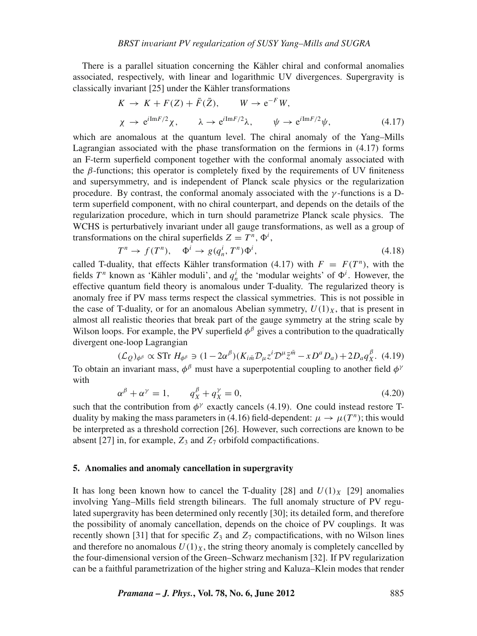There is a parallel situation concerning the Kähler chiral and conformal anomalies associated, respectively, with linear and logarithmic UV divergences. Supergravity is classically invariant [25] under the Kähler transformations

$$
K \to K + F(Z) + \bar{F}(\bar{Z}), \qquad W \to e^{-F}W,
$$
  
\n
$$
\chi \to e^{i\text{Im}F/2}\chi, \qquad \lambda \to e^{i\text{Im}F/2}\lambda, \qquad \psi \to e^{i\text{Im}F/2}\psi,
$$
\n(4.17)

which are anomalous at the quantum level. The chiral anomaly of the Yang–Mills Lagrangian associated with the phase transformation on the fermions in (4.17) forms an F-term superfield component together with the conformal anomaly associated with the  $\beta$ -functions; this operator is completely fixed by the requirements of UV finiteness and supersymmetry, and is independent of Planck scale physics or the regularization procedure. By contrast, the conformal anomaly associated with the  $\gamma$ -functions is a Dterm superfield component, with no chiral counterpart, and depends on the details of the regularization procedure, which in turn should parametrize Planck scale physics. The WCHS is perturbatively invariant under all gauge transformations, as well as a group of transformations on the chiral superfields  $Z = T^n$ ,  $\Phi^i$ ,

$$
T^n \to f(T^n), \quad \Phi^i \to g(q_n^i, T^n)\Phi^i,
$$
\n(4.18)

called T-duality, that effects Kähler transformation (4.17) with  $F = F(T^n)$ , with the fields  $T^n$  known as 'Kähler moduli', and  $q^i_n$  the 'modular weights' of  $\Phi^i$ . However, the effective quantum field theory is anomalous under T-duality. The regularized theory is anomaly free if PV mass terms respect the classical symmetries. This is not possible in the case of T-duality, or for an anomalous Abelian symmetry,  $U(1)_X$ , that is present in almost all realistic theories that break part of the gauge symmetry at the string scale by Wilson loops. For example, the PV superfield  $\phi^{\beta}$  gives a contribution to the quadratically divergent one-loop Lagrangian

$$
(\mathcal{L}_{Q})_{\phi^{\beta}} \propto \text{STr } H_{\phi^{\beta}} \ni (1 - 2\alpha^{\beta})(K_{i\bar{m}}\mathcal{D}_{\mu}z^{i}\mathcal{D}^{\mu}\bar{z}^{\bar{m}} - xD^{a}D_{a}) + 2D_{a}q^{\beta}_{X}. \tag{4.19}
$$

To obtain an invariant mass,  $\phi^{\beta}$  must have a superpotential coupling to another field  $\phi^{\gamma}$ with

$$
\alpha^{\beta} + \alpha^{\gamma} = 1, \qquad q_X^{\beta} + q_X^{\gamma} = 0,
$$
\n(4.20)

such that the contribution from  $\phi^{\gamma}$  exactly cancels (4.19). One could instead restore Tduality by making the mass parameters in (4.16) field-dependent:  $\mu \rightarrow \mu(T^n)$ ; this would be interpreted as a threshold correction [26]. However, such corrections are known to be absent [27] in, for example,  $Z_3$  and  $Z_7$  orbifold compactifications.

#### **5. Anomalies and anomaly cancellation in supergravity**

It has long been known how to cancel the T-duality [28] and  $U(1)_X$  [29] anomalies involving Yang–Mills field strength bilinears. The full anomaly structure of PV regulated supergravity has been determined only recently [30]; its detailed form, and therefore the possibility of anomaly cancellation, depends on the choice of PV couplings. It was recently shown [31] that for specific  $Z_3$  and  $Z_7$  compactifications, with no Wilson lines and therefore no anomalous  $U(1)_X$ , the string theory anomaly is completely cancelled by the four-dimensional version of the Green–Schwarz mechanism [32]. If PV regularization can be a faithful parametrization of the higher string and Kaluza–Klein modes that render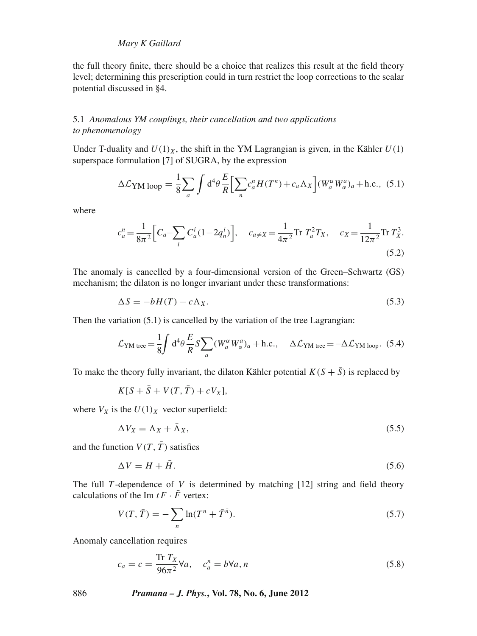## *Mary K Gaillard*

the full theory finite, there should be a choice that realizes this result at the field theory level; determining this prescription could in turn restrict the loop corrections to the scalar potential discussed in §4.

## 5.1 *Anomalous YM couplings, their cancellation and two applications to phenomenology*

Under T-duality and  $U(1)_X$ , the shift in the YM Lagrangian is given, in the Kähler  $U(1)$ superspace formulation [7] of SUGRA, by the expression

$$
\Delta \mathcal{L}_{\text{YM loop}} = \frac{1}{8} \sum_{a} \int d^4 \theta \frac{E}{R} \Big[ \sum_{n} c_a^n H(T^n) + c_a \Lambda_X \Big] (W_a^{\alpha} W_{\alpha}^a)_a + \text{h.c.}, \tag{5.1}
$$

where

$$
c_a^n = \frac{1}{8\pi^2} \Big[ C_a - \sum_i C_a^i (1 - 2q_n^i) \Big], \quad c_{a \neq X} = \frac{1}{4\pi^2} \text{Tr } T_a^2 T_X, \quad c_X = \frac{1}{12\pi^2} \text{Tr } T_X^3.
$$
\n(5.2)

The anomaly is cancelled by a four-dimensional version of the Green–Schwartz (GS) mechanism; the dilaton is no longer invariant under these transformations:

$$
\Delta S = -bH(T) - c\Lambda_X. \tag{5.3}
$$

Then the variation (5.1) is cancelled by the variation of the tree Lagrangian:

$$
\mathcal{L}_{\text{YM tree}} = \frac{1}{8} \int d^4 \theta \frac{E}{R} S \sum_a (W_a^{\alpha} W_a^a)_a + \text{h.c.}, \quad \Delta \mathcal{L}_{\text{YM tree}} = -\Delta \mathcal{L}_{\text{YM loop}}. (5.4)
$$

To make the theory fully invariant, the dilaton Kähler potential  $K(S + \overline{S})$  is replaced by

$$
K[S + \bar{S} + V(T, \bar{T}) + cV_X],
$$

where  $V_X$  is the  $U(1)_X$  vector superfield:

$$
\Delta V_X = \Lambda_X + \bar{\Lambda}_X,\tag{5.5}
$$

and the function  $V(T, \overline{T})$  satisfies

$$
\Delta V = H + \bar{H}.\tag{5.6}
$$

The full *T* -dependence of *V* is determined by matching [12] string and field theory calculations of the Im  $t \overline{F} \cdot \overline{F}$  vertex:

$$
V(T, \bar{T}) = -\sum_{n} \ln(T^{n} + \bar{T}^{\bar{n}}).
$$
 (5.7)

Anomaly cancellation requires

$$
c_a = c = \frac{\text{Tr } T_X}{96\pi^2} \forall a, \quad c_a^n = b \forall a, n
$$
\n
$$
(5.8)
$$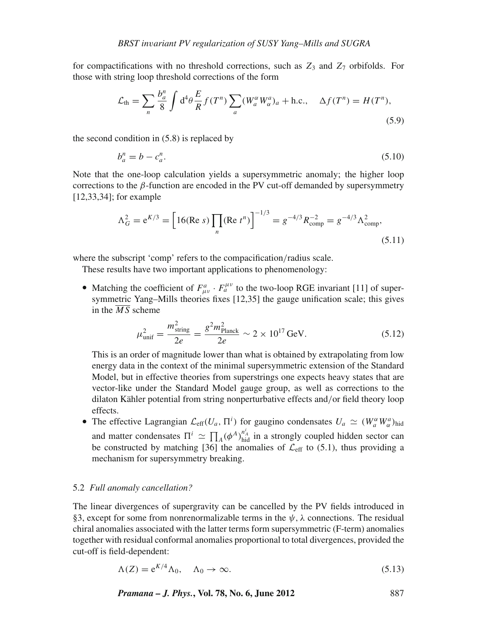for compactifications with no threshold corrections, such as  $Z_3$  and  $Z_7$  orbifolds. For those with string loop threshold corrections of the form

$$
\mathcal{L}_{\text{th}} = \sum_{n} \frac{b_a^n}{8} \int d^4 \theta \frac{E}{R} f(T^n) \sum_a (W_a^{\alpha} W_a^a)_a + \text{h.c.,} \quad \Delta f(T^n) = H(T^n),\tag{5.9}
$$

the second condition in (5.8) is replaced by

$$
b_a^n = b - c_a^n. \tag{5.10}
$$

Note that the one-loop calculation yields a supersymmetric anomaly; the higher loop corrections to the β-function are encoded in the PV cut-off demanded by supersymmetry [12,33,34]; for example

$$
\Lambda_G^2 = e^{K/3} = \left[ 16(\text{Re } s) \prod_n (\text{Re } t^n) \right]^{-1/3} = g^{-4/3} R_{\text{comp}}^{-2} = g^{-4/3} \Lambda_{\text{comp}}^2,
$$
\n(5.11)

where the subscript 'comp' refers to the compacification/radius scale.

These results have two important applications to phenomenology:

• Matching the coefficient of  $F^a_{\mu\nu} \cdot F^{\mu\nu}_a$  to the two-loop RGE invariant [11] of supersymmetric Yang–Mills theories fixes [12,35] the gauge unification scale; this gives in the  $\overline{MS}$  scheme

$$
\mu_{\rm unif}^2 = \frac{m_{\rm string}^2}{2e} = \frac{g^2 m_{\rm Planck}^2}{2e} \sim 2 \times 10^{17} \,\text{GeV}.\tag{5.12}
$$

This is an order of magnitude lower than what is obtained by extrapolating from low energy data in the context of the minimal supersymmetric extension of the Standard Model, but in effective theories from superstrings one expects heavy states that are vector-like under the Standard Model gauge group, as well as corrections to the dilaton Kähler potential from string nonperturbative effects and/or field theory loop effects.

• The effective Lagrangian  $\mathcal{L}_{eff}(U_a, \Pi^i)$  for gaugino condensates  $U_a \simeq (W_a^{\alpha} W_a^a)_{\text{hid}}$ and matter condensates  $\Pi^i \simeq \prod_A (\phi^A)^{n_A^i}_{\text{hid}}$  in a strongly coupled hidden sector can be constructed by matching [36] the anomalies of  $\mathcal{L}_{eff}$  to (5.1), thus providing a mechanism for supersymmetry breaking.

#### 5.2 *Full anomaly cancellation?*

The linear divergences of supergravity can be cancelled by the PV fields introduced in §3, except for some from nonrenormalizable terms in the  $\psi$ ,  $\lambda$  connections. The residual chiral anomalies associated with the latter terms form supersymmetric (F-term) anomalies together with residual conformal anomalies proportional to total divergences, provided the cut-off is field-dependent:

$$
\Lambda(Z) = e^{K/4} \Lambda_0, \quad \Lambda_0 \to \infty. \tag{5.13}
$$

*Pramana – J. Phys.***, Vol. 78, No. 6, June 2012** 887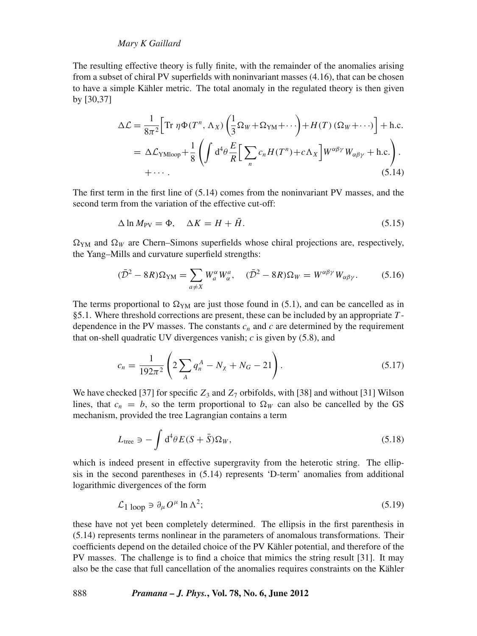## *Mary K Gaillard*

The resulting effective theory is fully finite, with the remainder of the anomalies arising from a subset of chiral PV superfields with noninvariant masses (4.16), that can be chosen to have a simple Kähler metric. The total anomaly in the regulated theory is then given by [30,37]

$$
\Delta \mathcal{L} = \frac{1}{8\pi^2} \Big[ \text{Tr } \eta \Phi(T^n, \Lambda_X) \left( \frac{1}{3} \Omega_W + \Omega_{YM} + \cdots \right) + H(T) \left( \Omega_W + \cdots \right) \Big] + \text{h.c.}
$$
  
=  $\Delta \mathcal{L}_{\text{YMloop}} + \frac{1}{8} \left( \int d^4 \theta \frac{E}{R} \Big[ \sum_n c_n H(T^n) + c \Lambda_X \Big] W^{\alpha \beta \gamma} W_{\alpha \beta \gamma} + \text{h.c.} \right).$   
+  $\cdots$ . (5.14)

The first term in the first line of (5.14) comes from the noninvariant PV masses, and the second term from the variation of the effective cut-off:

$$
\Delta \ln M_{\rm PV} = \Phi, \quad \Delta K = H + \bar{H}.\tag{5.15}
$$

 $\Omega_{YM}$  and  $\Omega_W$  are Chern–Simons superfields whose chiral projections are, respectively, the Yang–Mills and curvature superfield strengths:

$$
(\bar{\mathcal{D}}^2 - 8R)\Omega_{\text{YM}} = \sum_{a \neq X} W_a^{\alpha} W_{\alpha}^{a}, \quad (\bar{\mathcal{D}}^2 - 8R)\Omega_W = W^{\alpha\beta\gamma} W_{\alpha\beta\gamma}.
$$
 (5.16)

The terms proportional to  $\Omega_{YM}$  are just those found in (5.1), and can be cancelled as in §5.1. Where threshold corrections are present, these can be included by an appropriate *T* dependence in the PV masses. The constants  $c_n$  and  $c$  are determined by the requirement that on-shell quadratic UV divergences vanish; *c* is given by (5.8), and

$$
c_n = \frac{1}{192\pi^2} \left( 2\sum_A q_n^A - N_\chi + N_G - 21 \right). \tag{5.17}
$$

We have checked [37] for specific  $Z_3$  and  $Z_7$  orbifolds, with [38] and without [31] Wilson lines, that  $c_n = b$ , so the term proportional to  $\Omega_W$  can also be cancelled by the GS mechanism, provided the tree Lagrangian contains a term

$$
L_{\text{tree}} \ni -\int d^4\theta \, E(S+\bar{S})\Omega_W,\tag{5.18}
$$

which is indeed present in effective supergravity from the heterotic string. The ellipsis in the second parentheses in (5.14) represents 'D-term' anomalies from additional logarithmic divergences of the form

$$
\mathcal{L}_{1\text{ loop}} \ni \partial_{\mu} O^{\mu} \ln \Lambda^{2};\tag{5.19}
$$

these have not yet been completely determined. The ellipsis in the first parenthesis in (5.14) represents terms nonlinear in the parameters of anomalous transformations. Their coefficients depend on the detailed choice of the PV Kähler potential, and therefore of the PV masses. The challenge is to find a choice that mimics the string result [31]. It may also be the case that full cancellation of the anomalies requires constraints on the Kähler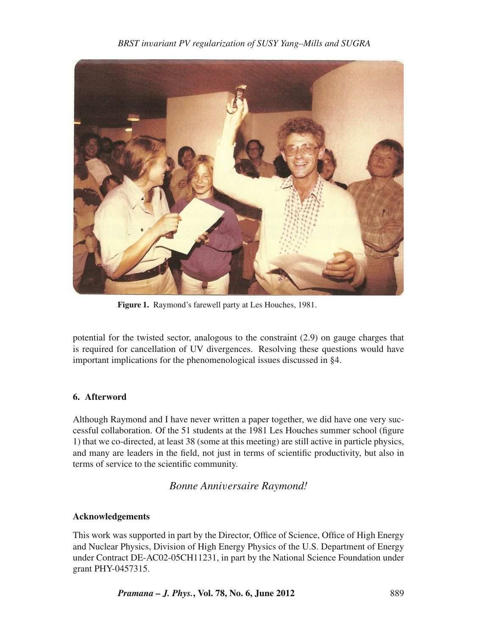*BRST in*v*ariant PV regularization of SUSY Yang–Mills and SUGRA*



**Figure 1.** Raymond's farewell party at Les Houches, 1981.

potential for the twisted sector, analogous to the constraint (2.9) on gauge charges that is required for cancellation of UV divergences. Resolving these questions would have important implications for the phenomenological issues discussed in §4.

# **6. Afterword**

Although Raymond and I have never written a paper together, we did have one very successful collaboration. Of the 51 students at the 1981 Les Houches summer school (figure 1) that we co-directed, at least 38 (some at this meeting) are still active in particle physics, and many are leaders in the field, not just in terms of scientific productivity, but also in terms of service to the scientific community.

# *Bonne Anni*v*ersaire Raymond!*

# **Acknowledgements**

This work was supported in part by the Director, Office of Science, Office of High Energy and Nuclear Physics, Division of High Energy Physics of the U.S. Department of Energy under Contract DE-AC02-05CH11231, in part by the National Science Foundation under grant PHY-0457315.